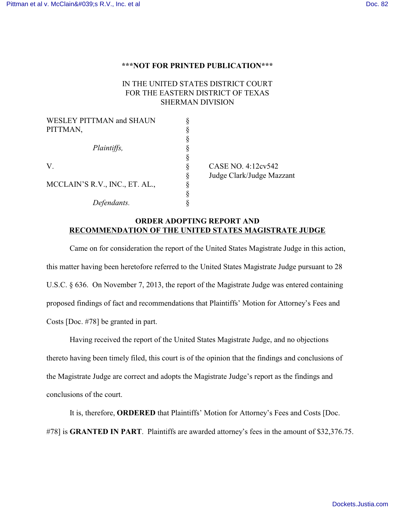## **\*\*\*NOT FOR PRINTED PUBLICATION\*\*\***

## IN THE UNITED STATES DISTRICT COURT FOR THE EASTERN DISTRICT OF TEXAS SHERMAN DIVISION

| <b>WESLEY PITTMAN and SHAUN</b> |   |                           |
|---------------------------------|---|---------------------------|
| PITTMAN,                        |   |                           |
|                                 |   |                           |
| Plaintiffs,                     |   |                           |
|                                 |   |                           |
| V.                              |   | CASE NO. 4:12cv542        |
|                                 | Š | Judge Clark/Judge Mazzant |
| MCCLAIN'S R.V., INC., ET. AL.,  | ς |                           |
|                                 |   |                           |
| Defendants.                     |   |                           |

## **ORDER ADOPTING REPORT AND RECOMMENDATION OF THE UNITED STATES MAGISTRATE JUDGE**

Came on for consideration the report of the United States Magistrate Judge in this action, this matter having been heretofore referred to the United States Magistrate Judge pursuant to 28 U.S.C. § 636. On November 7, 2013, the report of the Magistrate Judge was entered containing proposed findings of fact and recommendations that Plaintiffs' Motion for Attorney's Fees and Costs [Doc. #78] be granted in part.

Having received the report of the United States Magistrate Judge, and no objections thereto having been timely filed, this court is of the opinion that the findings and conclusions of the Magistrate Judge are correct and adopts the Magistrate Judge's report as the findings and conclusions of the court.

It is, therefore, **ORDERED** that Plaintiffs' Motion for Attorney's Fees and Costs [Doc. #78] is **GRANTED IN PART**. Plaintiffs are awarded attorney's fees in the amount of \$32,376.75.